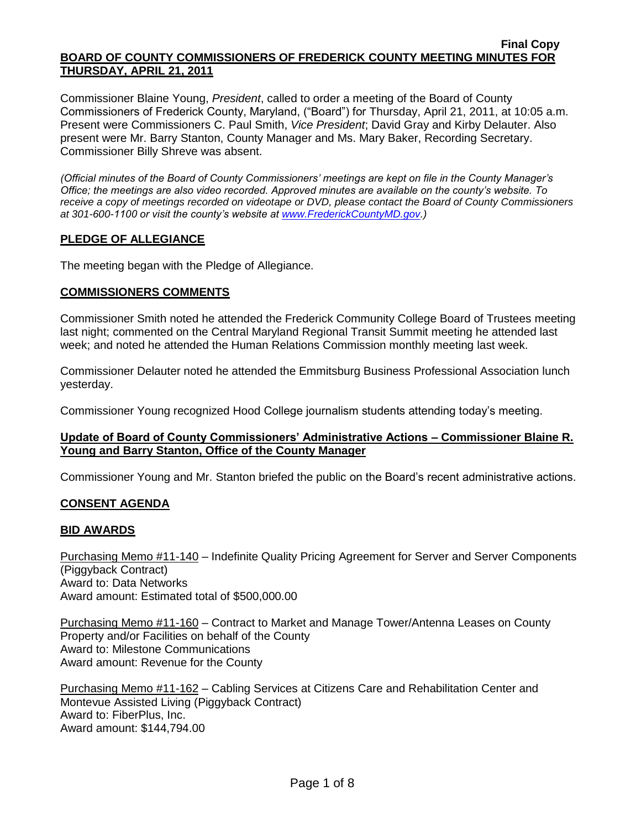Commissioner Blaine Young, *President*, called to order a meeting of the Board of County Commissioners of Frederick County, Maryland, ("Board") for Thursday, April 21, 2011, at 10:05 a.m. Present were Commissioners C. Paul Smith, *Vice President*; David Gray and Kirby Delauter. Also present were Mr. Barry Stanton, County Manager and Ms. Mary Baker, Recording Secretary. Commissioner Billy Shreve was absent.

*(Official minutes of the Board of County Commissioners' meetings are kept on file in the County Manager's Office; the meetings are also video recorded. Approved minutes are available on the county's website. To receive a copy of meetings recorded on videotape or DVD, please contact the Board of County Commissioners at 301-600-1100 or visit the county's website at [www.FrederickCountyMD.gov.](http://www.frederickcountymd.gov/))*

### **PLEDGE OF ALLEGIANCE**

The meeting began with the Pledge of Allegiance.

#### **COMMISSIONERS COMMENTS**

Commissioner Smith noted he attended the Frederick Community College Board of Trustees meeting last night; commented on the Central Maryland Regional Transit Summit meeting he attended last week; and noted he attended the Human Relations Commission monthly meeting last week.

Commissioner Delauter noted he attended the Emmitsburg Business Professional Association lunch yesterday.

Commissioner Young recognized Hood College journalism students attending today's meeting.

#### **Update of Board of County Commissioners' Administrative Actions – Commissioner Blaine R. Young and Barry Stanton, Office of the County Manager**

Commissioner Young and Mr. Stanton briefed the public on the Board's recent administrative actions.

### **CONSENT AGENDA**

#### **BID AWARDS**

Purchasing Memo #11-140 – Indefinite Quality Pricing Agreement for Server and Server Components (Piggyback Contract) Award to: Data Networks Award amount: Estimated total of \$500,000.00

Purchasing Memo #11-160 – Contract to Market and Manage Tower/Antenna Leases on County Property and/or Facilities on behalf of the County Award to: Milestone Communications Award amount: Revenue for the County

Purchasing Memo #11-162 – Cabling Services at Citizens Care and Rehabilitation Center and Montevue Assisted Living (Piggyback Contract) Award to: FiberPlus, Inc. Award amount: \$144,794.00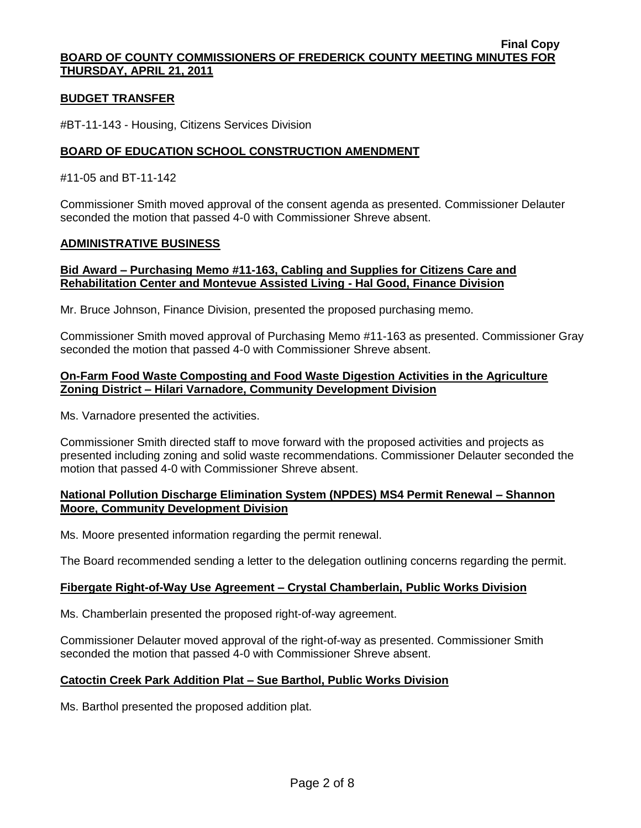#### **BUDGET TRANSFER**

#BT-11-143 - Housing, Citizens Services Division

#### **BOARD OF EDUCATION SCHOOL CONSTRUCTION AMENDMENT**

#### #11-05 and BT-11-142

Commissioner Smith moved approval of the consent agenda as presented. Commissioner Delauter seconded the motion that passed 4-0 with Commissioner Shreve absent.

#### **ADMINISTRATIVE BUSINESS**

#### **Bid Award – Purchasing Memo #11-163, Cabling and Supplies for Citizens Care and Rehabilitation Center and Montevue Assisted Living - Hal Good, Finance Division**

Mr. Bruce Johnson, Finance Division, presented the proposed purchasing memo.

Commissioner Smith moved approval of Purchasing Memo #11-163 as presented. Commissioner Gray seconded the motion that passed 4-0 with Commissioner Shreve absent.

#### **On-Farm Food Waste Composting and Food Waste Digestion Activities in the Agriculture Zoning District – Hilari Varnadore, Community Development Division**

Ms. Varnadore presented the activities.

Commissioner Smith directed staff to move forward with the proposed activities and projects as presented including zoning and solid waste recommendations. Commissioner Delauter seconded the motion that passed 4-0 with Commissioner Shreve absent.

### **National Pollution Discharge Elimination System (NPDES) MS4 Permit Renewal – Shannon Moore, Community Development Division**

Ms. Moore presented information regarding the permit renewal.

The Board recommended sending a letter to the delegation outlining concerns regarding the permit.

#### **Fibergate Right-of-Way Use Agreement – Crystal Chamberlain, Public Works Division**

Ms. Chamberlain presented the proposed right-of-way agreement.

Commissioner Delauter moved approval of the right-of-way as presented. Commissioner Smith seconded the motion that passed 4-0 with Commissioner Shreve absent.

#### **Catoctin Creek Park Addition Plat – Sue Barthol, Public Works Division**

Ms. Barthol presented the proposed addition plat.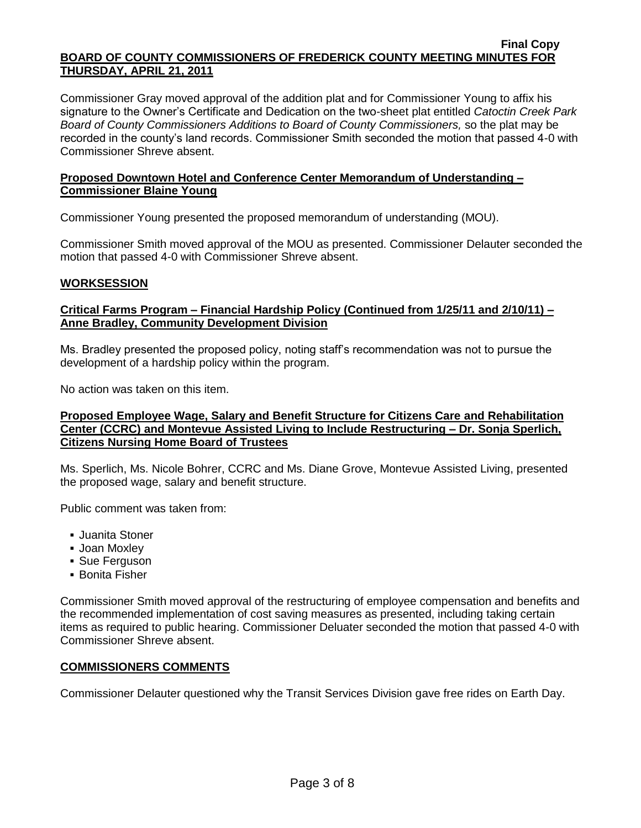Commissioner Gray moved approval of the addition plat and for Commissioner Young to affix his signature to the Owner's Certificate and Dedication on the two-sheet plat entitled *Catoctin Creek Park Board of County Commissioners Additions to Board of County Commissioners,* so the plat may be recorded in the county's land records. Commissioner Smith seconded the motion that passed 4-0 with Commissioner Shreve absent.

#### **Proposed Downtown Hotel and Conference Center Memorandum of Understanding – Commissioner Blaine Young**

Commissioner Young presented the proposed memorandum of understanding (MOU).

Commissioner Smith moved approval of the MOU as presented. Commissioner Delauter seconded the motion that passed 4-0 with Commissioner Shreve absent.

### **WORKSESSION**

### **Critical Farms Program – Financial Hardship Policy (Continued from 1/25/11 and 2/10/11) – Anne Bradley, Community Development Division**

Ms. Bradley presented the proposed policy, noting staff's recommendation was not to pursue the development of a hardship policy within the program.

No action was taken on this item.

### **Proposed Employee Wage, Salary and Benefit Structure for Citizens Care and Rehabilitation Center (CCRC) and Montevue Assisted Living to Include Restructuring – Dr. Sonja Sperlich, Citizens Nursing Home Board of Trustees**

Ms. Sperlich, Ms. Nicole Bohrer, CCRC and Ms. Diane Grove, Montevue Assisted Living, presented the proposed wage, salary and benefit structure.

Public comment was taken from:

- Juanita Stoner
- Joan Moxley
- Sue Ferguson
- Bonita Fisher

Commissioner Smith moved approval of the restructuring of employee compensation and benefits and the recommended implementation of cost saving measures as presented, including taking certain items as required to public hearing. Commissioner Deluater seconded the motion that passed 4-0 with Commissioner Shreve absent.

### **COMMISSIONERS COMMENTS**

Commissioner Delauter questioned why the Transit Services Division gave free rides on Earth Day.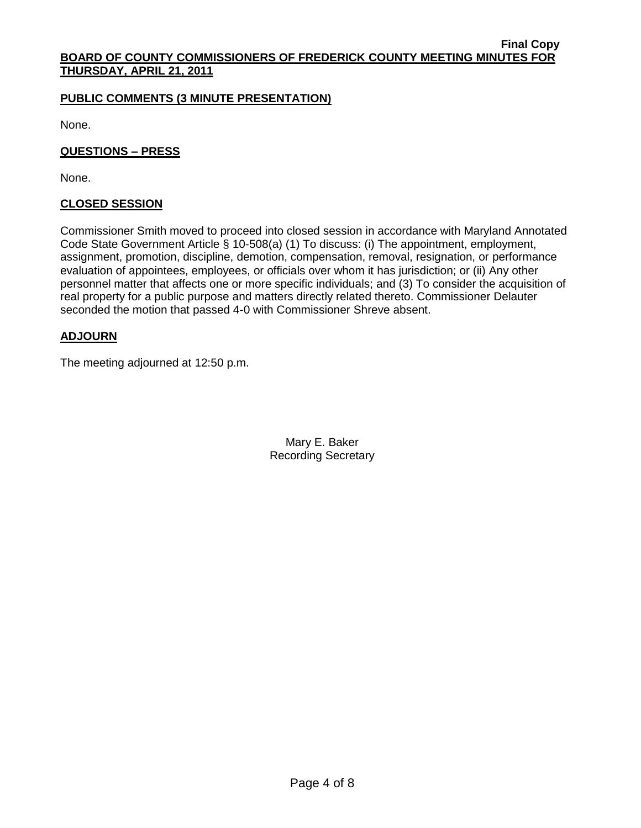### **PUBLIC COMMENTS (3 MINUTE PRESENTATION)**

None.

**QUESTIONS – PRESS**

None.

#### **CLOSED SESSION**

Commissioner Smith moved to proceed into closed session in accordance with Maryland Annotated Code State Government Article § 10-508(a) (1) To discuss: (i) The appointment, employment, assignment, promotion, discipline, demotion, compensation, removal, resignation, or performance evaluation of appointees, employees, or officials over whom it has jurisdiction; or (ii) Any other personnel matter that affects one or more specific individuals; and (3) To consider the acquisition of real property for a public purpose and matters directly related thereto. Commissioner Delauter seconded the motion that passed 4-0 with Commissioner Shreve absent.

### **ADJOURN**

The meeting adjourned at 12:50 p.m.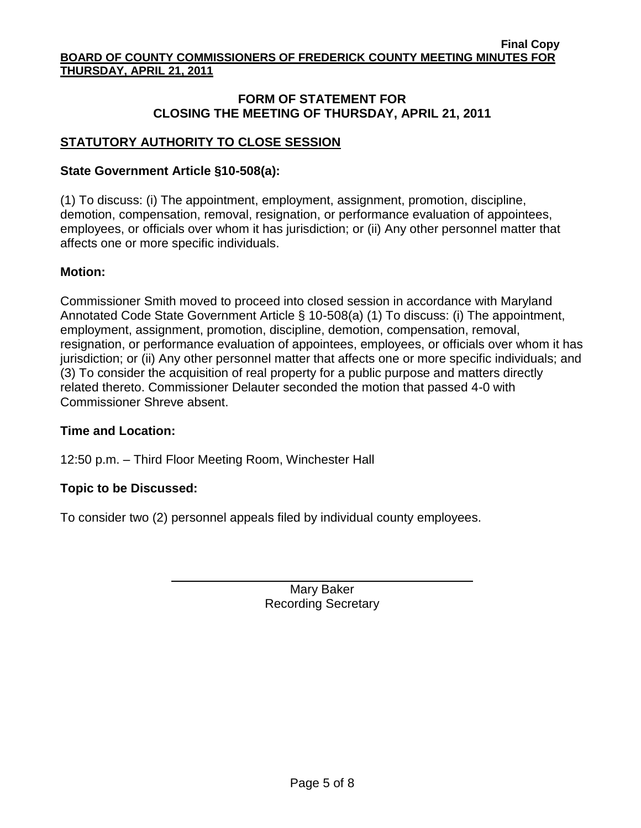## **FORM OF STATEMENT FOR CLOSING THE MEETING OF THURSDAY, APRIL 21, 2011**

# **STATUTORY AUTHORITY TO CLOSE SESSION**

# **State Government Article §10-508(a):**

(1) To discuss: (i) The appointment, employment, assignment, promotion, discipline, demotion, compensation, removal, resignation, or performance evaluation of appointees, employees, or officials over whom it has jurisdiction; or (ii) Any other personnel matter that affects one or more specific individuals.

## **Motion:**

Commissioner Smith moved to proceed into closed session in accordance with Maryland Annotated Code State Government Article § 10-508(a) (1) To discuss: (i) The appointment, employment, assignment, promotion, discipline, demotion, compensation, removal, resignation, or performance evaluation of appointees, employees, or officials over whom it has jurisdiction; or (ii) Any other personnel matter that affects one or more specific individuals; and (3) To consider the acquisition of real property for a public purpose and matters directly related thereto. Commissioner Delauter seconded the motion that passed 4-0 with Commissioner Shreve absent.

# **Time and Location:**

12:50 p.m. – Third Floor Meeting Room, Winchester Hall

# **Topic to be Discussed:**

To consider two (2) personnel appeals filed by individual county employees.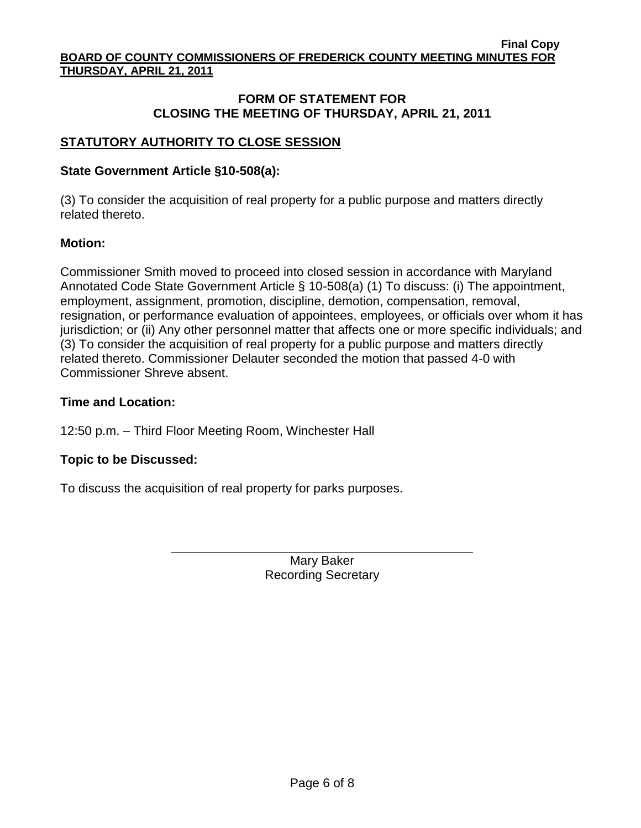## **FORM OF STATEMENT FOR CLOSING THE MEETING OF THURSDAY, APRIL 21, 2011**

# **STATUTORY AUTHORITY TO CLOSE SESSION**

# **State Government Article §10-508(a):**

(3) To consider the acquisition of real property for a public purpose and matters directly related thereto.

## **Motion:**

Commissioner Smith moved to proceed into closed session in accordance with Maryland Annotated Code State Government Article § 10-508(a) (1) To discuss: (i) The appointment, employment, assignment, promotion, discipline, demotion, compensation, removal, resignation, or performance evaluation of appointees, employees, or officials over whom it has jurisdiction; or (ii) Any other personnel matter that affects one or more specific individuals; and (3) To consider the acquisition of real property for a public purpose and matters directly related thereto. Commissioner Delauter seconded the motion that passed 4-0 with Commissioner Shreve absent.

# **Time and Location:**

12:50 p.m. – Third Floor Meeting Room, Winchester Hall

# **Topic to be Discussed:**

To discuss the acquisition of real property for parks purposes.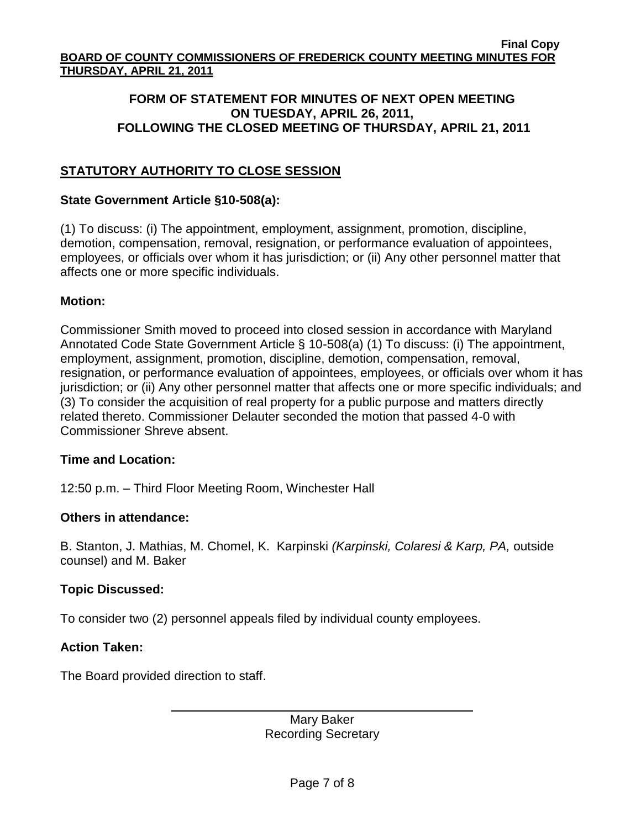# **FORM OF STATEMENT FOR MINUTES OF NEXT OPEN MEETING ON TUESDAY, APRIL 26, 2011, FOLLOWING THE CLOSED MEETING OF THURSDAY, APRIL 21, 2011**

# **STATUTORY AUTHORITY TO CLOSE SESSION**

## **State Government Article §10-508(a):**

(1) To discuss: (i) The appointment, employment, assignment, promotion, discipline, demotion, compensation, removal, resignation, or performance evaluation of appointees, employees, or officials over whom it has jurisdiction; or (ii) Any other personnel matter that affects one or more specific individuals.

# **Motion:**

Commissioner Smith moved to proceed into closed session in accordance with Maryland Annotated Code State Government Article § 10-508(a) (1) To discuss: (i) The appointment, employment, assignment, promotion, discipline, demotion, compensation, removal, resignation, or performance evaluation of appointees, employees, or officials over whom it has jurisdiction; or (ii) Any other personnel matter that affects one or more specific individuals; and (3) To consider the acquisition of real property for a public purpose and matters directly related thereto. Commissioner Delauter seconded the motion that passed 4-0 with Commissioner Shreve absent.

## **Time and Location:**

12:50 p.m. – Third Floor Meeting Room, Winchester Hall

## **Others in attendance:**

B. Stanton, J. Mathias, M. Chomel, K. Karpinski *(Karpinski, Colaresi & Karp, PA,* outside counsel) and M. Baker

# **Topic Discussed:**

To consider two (2) personnel appeals filed by individual county employees.

# **Action Taken:**

The Board provided direction to staff.